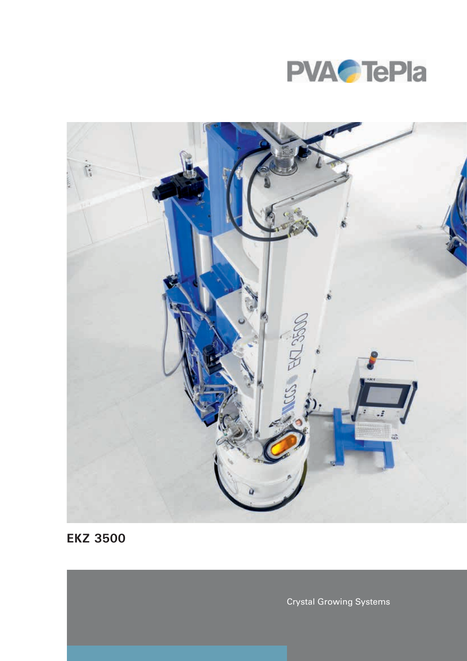



**EKZ 3500**

Crystal Growing Systems